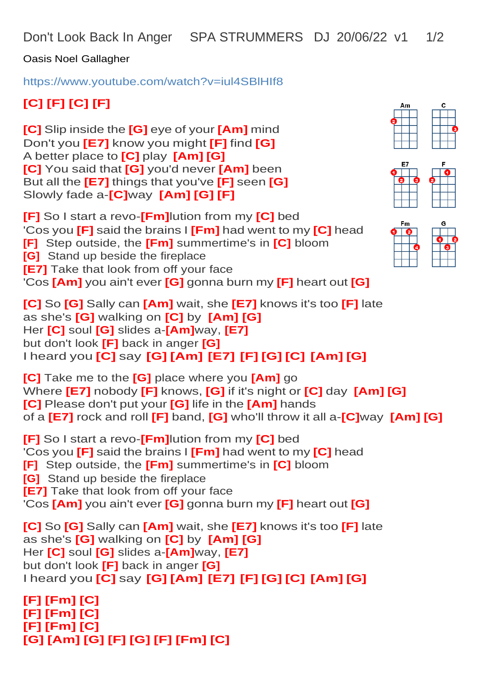Don't Look Back In Anger SPA STRUMMERS DJ 20/06/22 v1 1/2

Oasis Noel Gallagher

<https://www.youtube.com/watch?v=iul4SBlHIf8>

## **[C] [F] [C] [F]**

**[C]** Slip inside the **[G]** eye of your **[Am]** mind Don't you **[E7]** know you might **[F]** find **[G]** A better place to **[C]** play **[Am] [G] [C]** You said that **[G]** you'd never **[Am]** been But all the **[E7]** things that you've **[F]** seen **[G]**  Slowly fade a-**[C]**way **[Am] [G] [F]**

**[F]** So I start a revo-**[Fm]**lution from my **[C]** bed 'Cos you **[F]** said the brains I **[Fm]** had went to my **[C]** head **[F]** Step outside, the **[Fm]** summertime's in **[C]** bloom **[G]** Stand up beside the fireplace **[E7]** Take that look from off your face 'Cos **[Am]** you ain't ever **[G]** gonna burn my **[F]** heart out **[G]**

**[C]** So **[G]** Sally can **[Am]** wait, she **[E7]** knows it's too **[F]** late as she's **[G]** walking on **[C]** by **[Am] [G]** Her **[C]** soul **[G]** slides a-**[Am]**way, **[E7]** but don't look **[F]** back in anger **[G]** I heard you **[C]** say **[G] [Am] [E7] [F] [G] [C] [Am] [G]**

**[C]** Take me to the **[G]** place where you **[Am]** go Where **[E7]** nobody **[F]** knows, **[G]** if it's night or **[C]** day **[Am] [G] [C]** Please don't put your **[G]** life in the **[Am]** hands of a **[E7]** rock and roll **[F]** band, **[G]** who'll throw it all a-**[C]**way **[Am] [G]**

**[F]** So I start a revo-**[Fm]**lution from my **[C]** bed 'Cos you **[F]** said the brains I **[Fm]** had went to my **[C]** head **[F]** Step outside, the **[Fm]** summertime's in **[C]** bloom **[G]** Stand up beside the fireplace **[E7]** Take that look from off your face 'Cos **[Am]** you ain't ever **[G]** gonna burn my **[F]** heart out **[G]**

**[C]** So **[G]** Sally can **[Am]** wait, she **[E7]** knows it's too **[F]** late as she's **[G]** walking on **[C]** by **[Am] [G]** Her **[C]** soul **[G]** slides a-**[Am]**way, **[E7]** but don't look **[F]** back in anger **[G]** I heard you **[C]** say **[G] [Am] [E7] [F] [G] [C] [Am] [G]**

**[F] [Fm] [C] [F] [Fm] [C] [F] [Fm] [C] [G] [Am] [G] [F] [G] [F] [Fm] [C]**